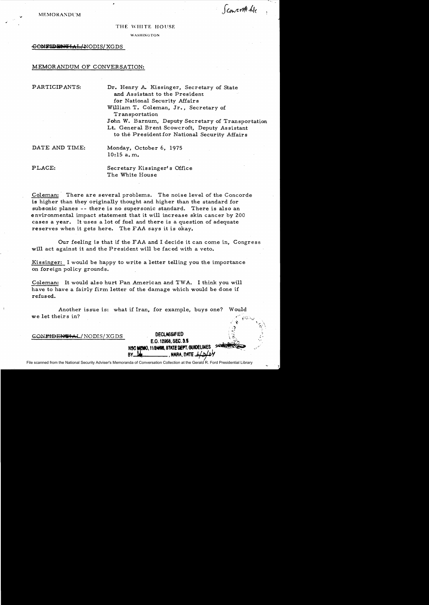**MEMORANDUM** 

*.i* 

Sconcritt ble,

### THE WHITE HOUSE

WASHINGTON

#### GONFIDENTIAL/NODIS/XGDS

## MEMORANDUM OF CONVERSATION:

PARTICIPANTS: Dr. Henry A. Kissinger, Secretary of State and Assistant to the President for National Security Affairs William T. Coleman, Jr., Secretary of **Transportation** 

> John W. Barnum, Deputy Secretary of Transportation Lt. General Brent Scowcroft, Deputy Assistant to the Presidentfor National Security Affairs

DATE AND TIME: Monday, October 6, 1975 10:15 a. m.

PLACE: Secretary Kissinger's Office The White House

Coleman: There are several problems. The noise level of the Concorde is higher than they originally thought and higher than the standard for subsonic planes -- there is no supersonic standard. There is also an environmental impact statement that it will increase skin cancer by 200 cases a year. It uses a lot of fuel and there is a question of adequate reserves when it gets here. The FAA says it is okay.

Our feeling is that if the FAA and I decide it can come in, Congress will act against it and the President will be faced with a veto.

Kissinger: I would be happy to write a letter telling you the importance on foreign policy grounds.

Coleman: It would also hurt Pan American and TWA. I think you will have to have a fairly firm letter of the damage which would be done if refused.

Another issue is: what if Iran, for example, buys one? Would we let theirs in?

> **DECLASSIFIED** E.O. 12968, SEC. 3.5 NSC MEMO, 11/24/98, STATE DEPT. GUIDELINES

> > , NARA, DATE

GONFIDENTIAL/ NODIS/ XGDS

File scanned from the National Security Adviser's Memoranda of Conversation Collection at the Gerald R. Ford Presidential Library

**BY\_**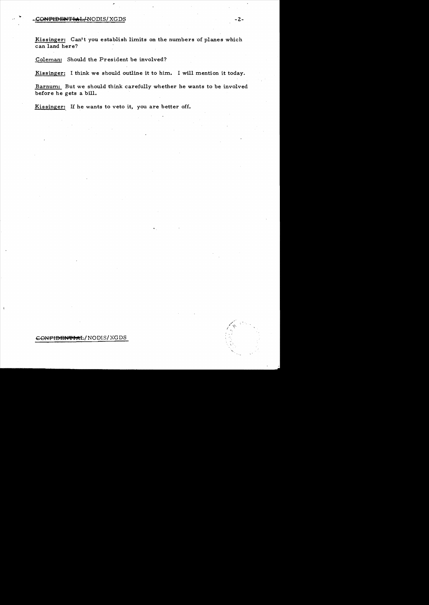# $\bullet$  - 2-GNFIDENTIAL/NODIS/XGDS - 2-GNFIDENTIAL:

Kissinger: Can't you establish limits on the numbers of planes which can land here?

Coleman: Should the President be involved?

Kissinger: I think we should outline it to him. I will mention it today.

Barnum: But we should think carefully whether he wants to be involved before he gets a bill.

Kissinger: If he wants to veto it, you are better off.

CONFIDENTIAL/ NODIS/ XGDS